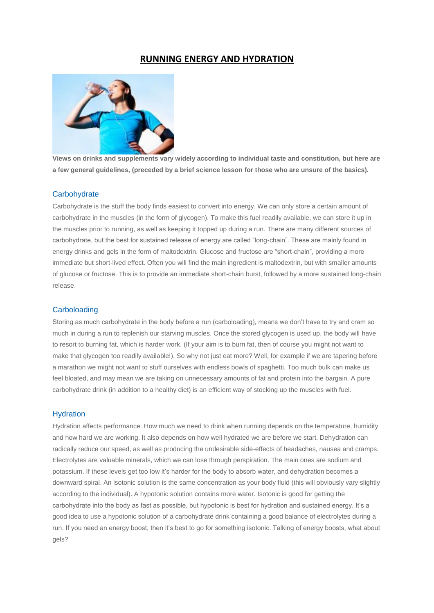# **RUNNING ENERGY AND HYDRATION**



**Views on drinks and supplements vary widely according to individual taste and constitution, but here are a few general guidelines, (preceded by a brief science lesson for those who are unsure of the basics).**

## **Carbohydrate**

Carbohydrate is the stuff the body finds easiest to convert into energy. We can only store a certain amount of carbohydrate in the muscles (in the form of glycogen). To make this fuel readily available, we can store it up in the muscles prior to running, as well as keeping it topped up during a run. There are many different sources of carbohydrate, but the best for sustained release of energy are called "long-chain". These are mainly found in energy drinks and gels in the form of maltodextrin. Glucose and fructose are "short-chain", providing a more immediate but short-lived effect. Often you will find the main ingredient is maltodextrin, but with smaller amounts of glucose or fructose. This is to provide an immediate short-chain burst, followed by a more sustained long-chain release.

## **Carboloading**

Storing as much carbohydrate in the body before a run (carboloading), means we don't have to try and cram so much in during a run to replenish our starving muscles. Once the stored glycogen is used up, the body will have to resort to burning fat, which is harder work. (If your aim is to burn fat, then of course you might not want to make that glycogen too readily available!). So why not just eat more? Well, for example if we are tapering before a marathon we might not want to stuff ourselves with endless bowls of spaghetti. Too much bulk can make us feel bloated, and may mean we are taking on unnecessary amounts of fat and protein into the bargain. A pure carbohydrate drink (in addition to a healthy diet) is an efficient way of stocking up the muscles with fuel.

## **Hydration**

Hydration affects performance. How much we need to drink when running depends on the temperature, humidity and how hard we are working. It also depends on how well hydrated we are before we start. Dehydration can radically reduce our speed, as well as producing the undesirable side-effects of headaches, nausea and cramps. Electrolytes are valuable minerals, which we can lose through perspiration. The main ones are sodium and potassium. If these levels get too low it's harder for the body to absorb water, and dehydration becomes a downward spiral. An isotonic solution is the same concentration as your body fluid (this will obviously vary slightly according to the individual). A hypotonic solution contains more water. Isotonic is good for getting the carbohydrate into the body as fast as possible, but hypotonic is best for hydration and sustained energy. It's a good idea to use a hypotonic solution of a carbohydrate drink containing a good balance of electrolytes during a run. If you need an energy boost, then it's best to go for something isotonic. Talking of energy boosts, what about gels?